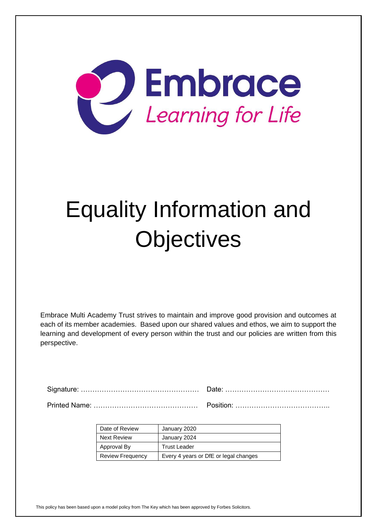

# Equality Information and **Objectives**

Embrace Multi Academy Trust strives to maintain and improve good provision and outcomes at each of its member academies. Based upon our shared values and ethos, we aim to support the learning and development of every person within the trust and our policies are written from this perspective.

| Date of Review          | January 2020                          |
|-------------------------|---------------------------------------|
| <b>Next Review</b>      | January 2024                          |
| Approval By             | <b>Trust Leader</b>                   |
| <b>Review Frequency</b> | Every 4 years or DfE or legal changes |

This policy has been based upon a model policy from The Key which has been approved by Forbes Solicitors.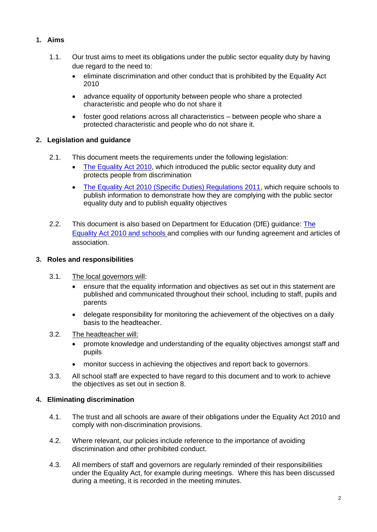# **1. Aims**

- 1.1. Our trust aims to meet its obligations under the public sector equality duty by having due regard to the need to:
	- eliminate discrimination and other conduct that is prohibited by the Equality Act 2010
	- advance equality of opportunity between people who share a protected characteristic and people who do not share it
	- foster good relations across all characteristics between people who share a protected characteristic and people who do not share it.

# **2. Legislation and guidance**

- 2.1. This document meets the requirements under the following legislation:
	- [The Equality Act 2010,](http://www.legislation.gov.uk/ukpga/2010/15/contents) which introduced the public sector equality duty and protects people from discrimination
	- [The Equality Act 2010 \(Specific Duties\) Regulations 2011,](http://www.legislation.gov.uk/uksi/2011/2260/contents/made) which require schools to publish information to demonstrate how they are complying with the public sector equality duty and to publish equality objectives
- 2.2. This document is also based on Department for Education (DfE) guidance: The [Equality Act 2010 and schools](https://www.gov.uk/government/uploads/system/uploads/attachment_data/file/315587/Equality_Act_Advice_Final.pdf) and complies with our funding agreement and articles of association.

# **3. Roles and responsibilities**

- 3.1. The local governors will:
	- ensure that the equality information and objectives as set out in this statement are published and communicated throughout their school, including to staff, pupils and parents
	- delegate responsibility for monitoring the achievement of the objectives on a daily basis to the headteacher.
- 3.2. The headteacher will:
	- promote knowledge and understanding of the equality objectives amongst staff and pupils
	- monitor success in achieving the objectives and report back to governors.
- 3.3. All school staff are expected to have regard to this document and to work to achieve the objectives as set out in section 8.

# **4. Eliminating discrimination**

- 4.1. The trust and all schools are aware of their obligations under the Equality Act 2010 and comply with non-discrimination provisions.
- 4.2. Where relevant, our policies include reference to the importance of avoiding discrimination and other prohibited conduct.
- 4.3. All members of staff and governors are regularly reminded of their responsibilities under the Equality Act, for example during meetings. Where this has been discussed during a meeting, it is recorded in the meeting minutes.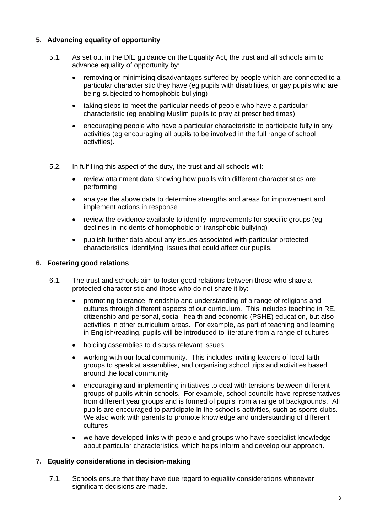## **5. Advancing equality of opportunity**

- 5.1. As set out in the DfE guidance on the Equality Act, the trust and all schools aim to advance equality of opportunity by:
	- removing or minimising disadvantages suffered by people which are connected to a particular characteristic they have (eg pupils with disabilities, or gay pupils who are being subjected to homophobic bullying)
	- taking steps to meet the particular needs of people who have a particular characteristic (eg enabling Muslim pupils to pray at prescribed times)
	- encouraging people who have a particular characteristic to participate fully in any activities (eg encouraging all pupils to be involved in the full range of school activities).
- 5.2. In fulfilling this aspect of the duty, the trust and all schools will:
	- review attainment data showing how pupils with different characteristics are performing
	- analyse the above data to determine strengths and areas for improvement and implement actions in response
	- review the evidence available to identify improvements for specific groups (eg declines in incidents of homophobic or transphobic bullying)
	- publish further data about any issues associated with particular protected characteristics, identifying issues that could affect our pupils.

#### **6. Fostering good relations**

- 6.1. The trust and schools aim to foster good relations between those who share a protected characteristic and those who do not share it by:
	- promoting tolerance, friendship and understanding of a range of religions and cultures through different aspects of our curriculum. This includes teaching in RE, citizenship and personal, social, health and economic (PSHE) education, but also activities in other curriculum areas. For example, as part of teaching and learning in English/reading, pupils will be introduced to literature from a range of cultures
	- holding assemblies to discuss relevant issues
	- working with our local community. This includes inviting leaders of local faith groups to speak at assemblies, and organising school trips and activities based around the local community
	- encouraging and implementing initiatives to deal with tensions between different groups of pupils within schools. For example, school councils have representatives from different year groups and is formed of pupils from a range of backgrounds. All pupils are encouraged to participate in the school's activities, such as sports clubs. We also work with parents to promote knowledge and understanding of different cultures
	- we have developed links with people and groups who have specialist knowledge about particular characteristics, which helps inform and develop our approach.

#### **7. Equality considerations in decision-making**

7.1. Schools ensure that they have due regard to equality considerations whenever significant decisions are made.